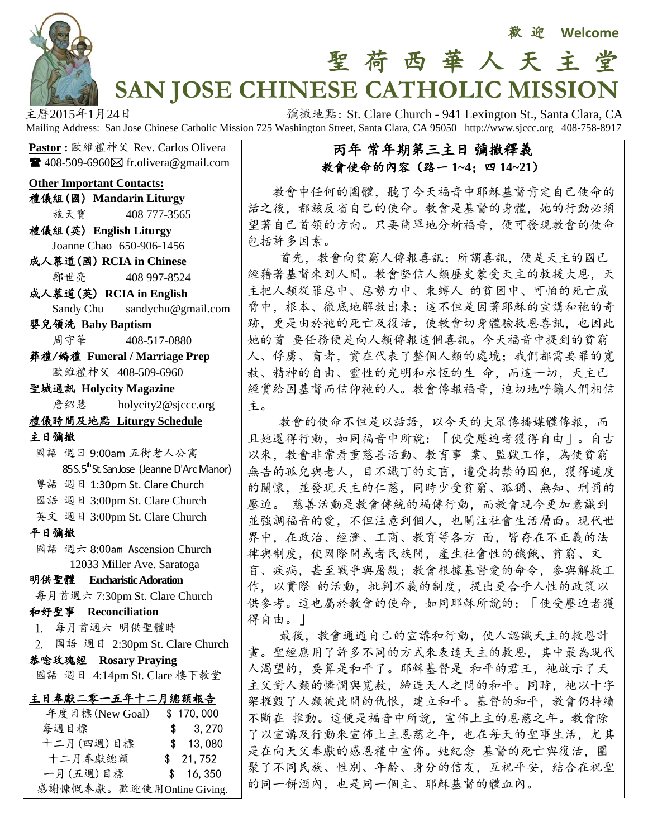

# 聖 荷 西 華 人 天 主 堂 **SAN JOSE CHINESE CATHOLIC MISSION**

主曆2015年1月24日 **December 1946年** 新撒地點: St. Clare Church - 941 Lexington St., Santa Clara, CA Mailing Address: San Jose Chinese Catholic Mission 725 Washington Street, Santa Clara, CA 95050 http://www.sjccc.org 408-758-8917

**Pastor** : 歐維禮神父 Rev. Carlos Olivera  $\blacksquare$  408-509-6960 $\boxtimes$  fr.olivera@gmail.com

#### **Other Important Contacts:**

- 禮儀組(國) **Mandarin Liturgy**
	- 施天寶 408 777-3565
- 禮儀組(英) **English Liturgy** Joanne Chao 650-906-1456
- 成人慕道(國) **RCIA in Chinese** 鄒世亮 408 997-8524
- 成人慕道(英) **RCIA in English**
- Sandy Chu sandychu@gmail.com 嬰兒領洗 **Baby Baptism**
- 周守華 408-517-0880
- 葬禮/婚禮 **Funeral / Marriage Prep** 歐維禮神父 408-509-6960

聖城通訊 **Holycity Magazine 詹紹慧** [holycity2@sjccc.org](mailto:holycity2@sjccc.org)

#### 禮儀時間及地點 **Liturgy Schedule**

- 主日彌撒
- 國語 週日 9:00am 五街老人公寓 85 S. 5<sup>th</sup> St. San Jose (Jeanne D'Arc Manor)
- 粵語 週日 1:30pm St. Clare Church
- 國語 週日 3:00pm St. Clare Church
- 英文 週日 3:00pm St. Clare Church

#### 平日彌撒

 國語 週六 8:00am Ascension Church 12033 Miller Ave. Saratoga

### 明供聖體 **Eucharistic Adoration**

每月首週六 7:30pm St. Clare Church

和好聖事 **Reconciliation**

- 1. 每月首週六 明供聖體時
- 2. 國語 週日 2:30pm St. Clare Church
- 恭唸玫瑰經 **Rosary Praying** 國語 週日 4:14pm St. Clare 樓下教堂

| 主日奉獻二零一五年十二月總額報告          |           |
|---------------------------|-----------|
| 年度目標(New Goal)            | \$170,000 |
| 每週目標                      | \$3,270   |
| 十二月(四週)目標                 | \$13,080  |
| 十二月奉獻總額                   | \$21,752  |
| 一月(五週)目標                  | \$16,350  |
| 感謝慷慨奉獻。歡迎使用Online Giving. |           |

## 丙年 常年期第三主日 彌撒釋義 教會使命的內容(路一 **1~4**;四 **14~21**)

教會中任何的團體,聽了今天福音中耶穌基督肯定自己使命的 話之後,都該反省自己的使命。教會是基督的身體,她的行動必須 望著自己首領的方向。只要簡單地分析福音,便可發現教會的使命 包括許多因素。

 首先,教會向貧窮人傳報喜訊;所謂喜訊,便是天主的國已 經藉著基督來到人間。教會堅信人類歷史蒙受天主的救援大恩,天 主把人類從罪惡中、惡勢力中、束縛人 的貧困中、可怕的死亡威 脅中,根本、徹底地解救出來;這不但是因著耶穌的宣講和祂的奇 跡,更是由於祂的死亡及復活,使教會切身體驗救恩喜訊,也因此 她的首 要任務便是向人類傳報這個喜訊。今天福音中提到的貧窮 人、俘虜、盲者,實在代表了整個人類的處境;我們都需要罪的寬 赦、精神的自由、靈性的光明和永恆的生命,而這一切,天主已 經賞給因基督而信仰祂的人。教會傳報福音,迫切地呼籲人們相信 主。

 教會的使命不但是以話語,以今天的大眾傳播媒體傳報,而 且她還得行動,如同福音中所說:「使受壓迫者獲得自由」。自古 以來,教會非常看重慈善活動、教育事 業、監獄工作,為使貧窮 無告的孤兒與老人,目不識丁的文盲,遭受拘禁的囚犯,獲得適度 的關懷,並發現天主的仁慈,同時少受貧窮、孤獨、無知、刑罰的 壓迫。 慈善活動是教會傳統的福傳行動,而教會現今更加意識到 並強調福音的愛,不但注意到個人,也關注社會生活層面。現代世 界中,在政治、經濟、工商、教育等各方 面,皆存在不正義的法 律與制度,使國際間或者民族間,產生社會性的饑餓、貧窮、文 盲、疾病,甚至戰爭與屠殺;教會根據基督愛的命令,參與解救工 作, 以實際 的活動, 批判不義的制度, 提出更合乎人性的政策以 供參考。這也屬於教會的使命,如同耶穌所說的:「使受壓迫者獲 得自由。」

 最後,教會通過自己的宣講和行動,使人認識天主的救恩計 畫。聖經應用了許多不同的方式來表達天主的救恩,其中最為現代 人渴望的,要算是和平了。耶穌基督是 和平的君王, 祂啟示了天 主父對人類的憐憫與寬赦,締造天人之間的和平。同時,祂以十字 架摧毀了人類彼此間的仇恨,建立和平。基督的和平,教會仍持續 不斷在 推動。這便是福音中所說,宣佈上主的恩慈之年。教會除 了以宣講及行動來宣佈上主恩慈之年,也在每天的聖事生活,尤其 是在向天父奉獻的感恩禮中宣佈。她紀念 基督的死亡與復活, 團 聚了不同民族、性別、年齡、身分的信友,互祝平安,結合在祝聖 的同一餅酒內,也是同一個主、耶穌基督的體血內。